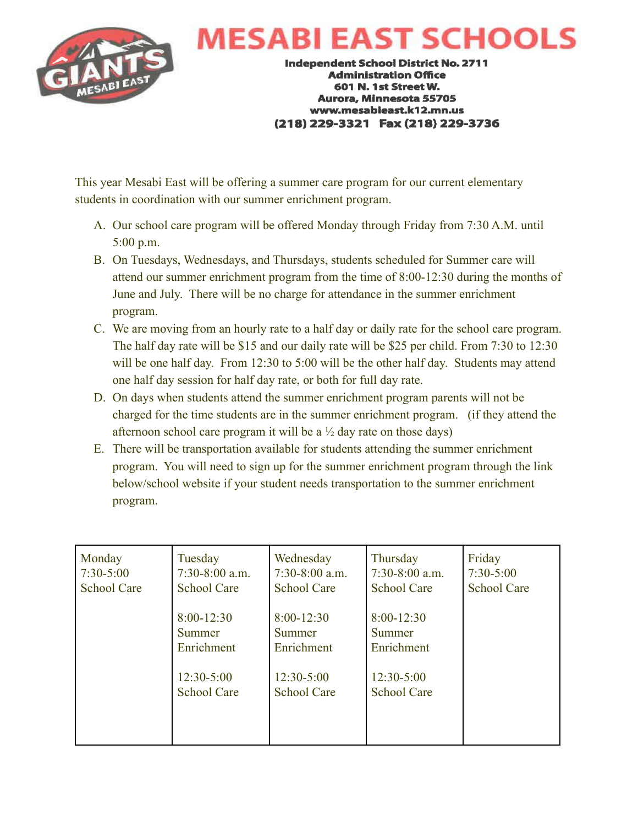

## **MESABI E TSCHOO**

**Independent School District No. 2711 Administration Office** 601 N. 1st Street W. Aurora, Minnesota 55705 www.mesabieast.k12.mn.us (218) 229-3321 Fax (218) 229-3736

This year Mesabi East will be offering a summer care program for our current elementary students in coordination with our summer enrichment program.

- A. Our school care program will be offered Monday through Friday from 7:30 A.M. until 5:00 p.m.
- B. On Tuesdays, Wednesdays, and Thursdays, students scheduled for Summer care will attend our summer enrichment program from the time of 8:00-12:30 during the months of June and July. There will be no charge for attendance in the summer enrichment program.
- C. We are moving from an hourly rate to a half day or daily rate for the school care program. The half day rate will be \$15 and our daily rate will be \$25 per child. From 7:30 to 12:30 will be one half day. From 12:30 to 5:00 will be the other half day. Students may attend one half day session for half day rate, or both for full day rate.
- D. On days when students attend the summer enrichment program parents will not be charged for the time students are in the summer enrichment program. (if they attend the afternoon school care program it will be a  $\frac{1}{2}$  day rate on those days)
- E. There will be transportation available for students attending the summer enrichment program. You will need to sign up for the summer enrichment program through the link below/school website if your student needs transportation to the summer enrichment program.

| Monday<br>$7:30-5:00$<br><b>School Care</b> | Tuesday<br>$7:30-8:00$ a.m.<br><b>School Care</b> | Wednesday<br>$7:30-8:00$ a.m.<br><b>School Care</b> | Thursday<br>$7:30-8:00$ a.m.<br><b>School Care</b> | Friday<br>$7:30-5:00$<br><b>School Care</b> |
|---------------------------------------------|---------------------------------------------------|-----------------------------------------------------|----------------------------------------------------|---------------------------------------------|
|                                             | $8:00 - 12:30$<br>Summer<br>Enrichment            | $8:00-12:30$<br>Summer<br>Enrichment                | $8:00-12:30$<br>Summer<br>Enrichment               |                                             |
|                                             | $12:30-5:00$<br><b>School Care</b>                | $12:30-5:00$<br><b>School Care</b>                  | $12:30-5:00$<br><b>School Care</b>                 |                                             |